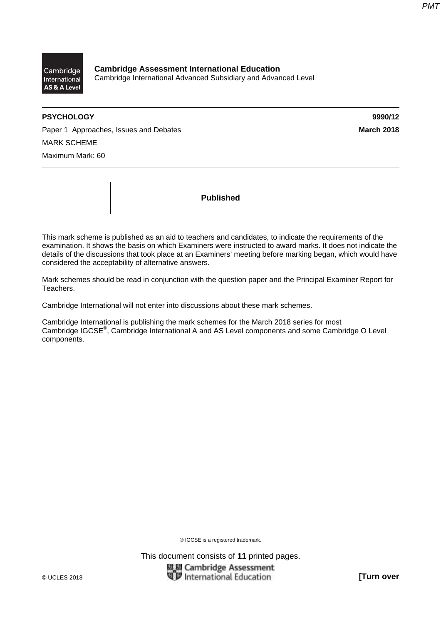

**Cambridge Assessment International Education**  Cambridge International Advanced Subsidiary and Advanced Level

#### **PSYCHOLOGY 9990/12**

Paper 1 Approaches, Issues and Debates **March 2018** March 2018 MARK SCHEME Maximum Mark: 60

**Published** 

This mark scheme is published as an aid to teachers and candidates, to indicate the requirements of the examination. It shows the basis on which Examiners were instructed to award marks. It does not indicate the details of the discussions that took place at an Examiners' meeting before marking began, which would have considered the acceptability of alternative answers.

Mark schemes should be read in conjunction with the question paper and the Principal Examiner Report for Teachers.

Cambridge International will not enter into discussions about these mark schemes.

Cambridge International is publishing the mark schemes for the March 2018 series for most Cambridge IGCSE®, Cambridge International A and AS Level components and some Cambridge O Level components.

® IGCSE is a registered trademark.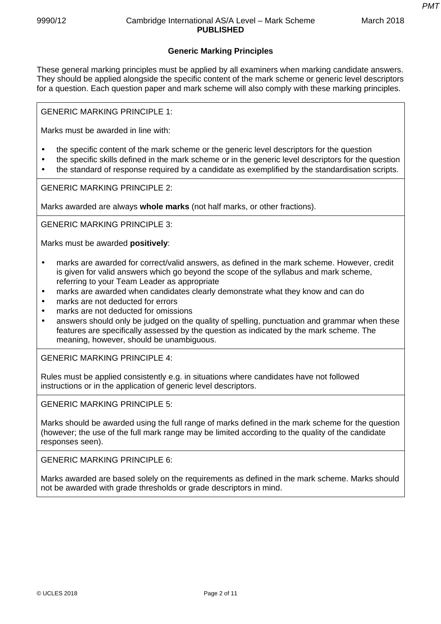## 9990/12 Cambridge International AS/A Level – Mark Scheme **PUBLISHED**

*PMT*

# **Generic Marking Principles**

These general marking principles must be applied by all examiners when marking candidate answers. They should be applied alongside the specific content of the mark scheme or generic level descriptors for a question. Each question paper and mark scheme will also comply with these marking principles.

GENERIC MARKING PRINCIPLE 1:

Marks must be awarded in line with:

- the specific content of the mark scheme or the generic level descriptors for the question
- the specific skills defined in the mark scheme or in the generic level descriptors for the question
- the standard of response required by a candidate as exemplified by the standardisation scripts.

GENERIC MARKING PRINCIPLE 2:

Marks awarded are always **whole marks** (not half marks, or other fractions).

GENERIC MARKING PRINCIPLE 3:

Marks must be awarded **positively**:

- marks are awarded for correct/valid answers, as defined in the mark scheme. However, credit is given for valid answers which go beyond the scope of the syllabus and mark scheme, referring to your Team Leader as appropriate
- marks are awarded when candidates clearly demonstrate what they know and can do
- marks are not deducted for errors
- marks are not deducted for omissions
- answers should only be judged on the quality of spelling, punctuation and grammar when these features are specifically assessed by the question as indicated by the mark scheme. The meaning, however, should be unambiguous.

GENERIC MARKING PRINCIPLE 4:

Rules must be applied consistently e.g. in situations where candidates have not followed instructions or in the application of generic level descriptors.

GENERIC MARKING PRINCIPLE 5:

Marks should be awarded using the full range of marks defined in the mark scheme for the question (however; the use of the full mark range may be limited according to the quality of the candidate responses seen).

GENERIC MARKING PRINCIPLE 6:

Marks awarded are based solely on the requirements as defined in the mark scheme. Marks should not be awarded with grade thresholds or grade descriptors in mind.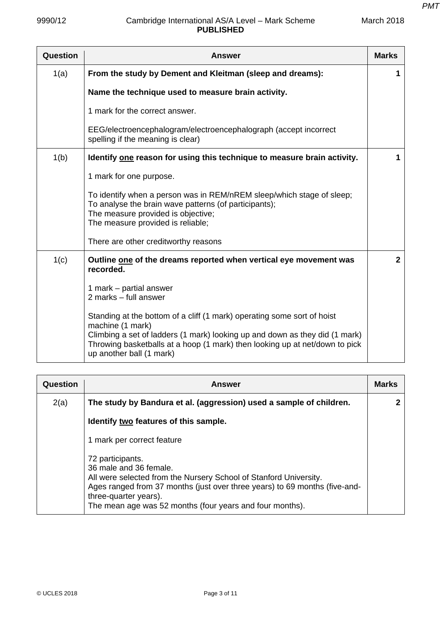| Question | <b>Answer</b>                                                                                                                                                                                                                                                                         | <b>Marks</b> |
|----------|---------------------------------------------------------------------------------------------------------------------------------------------------------------------------------------------------------------------------------------------------------------------------------------|--------------|
| 1(a)     | From the study by Dement and Kleitman (sleep and dreams):                                                                                                                                                                                                                             | 1            |
|          | Name the technique used to measure brain activity.                                                                                                                                                                                                                                    |              |
|          | 1 mark for the correct answer.                                                                                                                                                                                                                                                        |              |
|          | EEG/electroencephalogram/electroencephalograph (accept incorrect<br>spelling if the meaning is clear)                                                                                                                                                                                 |              |
| 1(b)     | Identify one reason for using this technique to measure brain activity.                                                                                                                                                                                                               | 1            |
|          | 1 mark for one purpose.                                                                                                                                                                                                                                                               |              |
|          | To identify when a person was in REM/nREM sleep/which stage of sleep;<br>To analyse the brain wave patterns (of participants);<br>The measure provided is objective;<br>The measure provided is reliable;                                                                             |              |
|          | There are other creditworthy reasons                                                                                                                                                                                                                                                  |              |
| 1(c)     | Outline one of the dreams reported when vertical eye movement was<br>recorded.                                                                                                                                                                                                        | $\mathbf{2}$ |
|          | 1 mark – partial answer<br>2 marks - full answer                                                                                                                                                                                                                                      |              |
|          | Standing at the bottom of a cliff (1 mark) operating some sort of hoist<br>machine (1 mark)<br>Climbing a set of ladders (1 mark) looking up and down as they did (1 mark)<br>Throwing basketballs at a hoop (1 mark) then looking up at net/down to pick<br>up another ball (1 mark) |              |

| Question | <b>Answer</b>                                                                                                                                                                                                                                                                      | <b>Marks</b> |
|----------|------------------------------------------------------------------------------------------------------------------------------------------------------------------------------------------------------------------------------------------------------------------------------------|--------------|
| 2(a)     | The study by Bandura et al. (aggression) used a sample of children.                                                                                                                                                                                                                |              |
|          | Identify two features of this sample.                                                                                                                                                                                                                                              |              |
|          | 1 mark per correct feature                                                                                                                                                                                                                                                         |              |
|          | 72 participants.<br>36 male and 36 female.<br>All were selected from the Nursery School of Stanford University.<br>Ages ranged from 37 months (just over three years) to 69 months (five-and-<br>three-quarter years).<br>The mean age was 52 months (four years and four months). |              |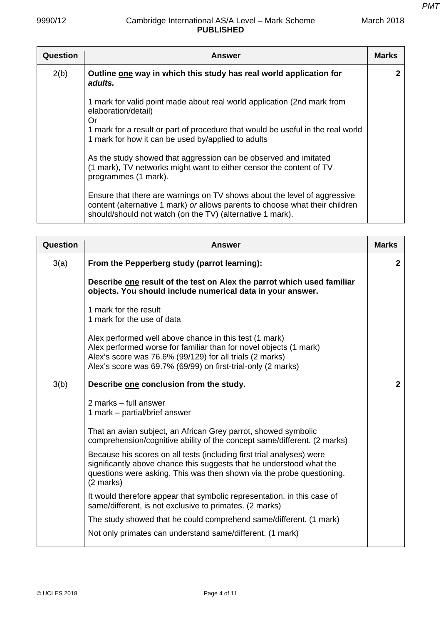| Question | <b>Answer</b>                                                                                                                                                                                                         | <b>Marks</b> |
|----------|-----------------------------------------------------------------------------------------------------------------------------------------------------------------------------------------------------------------------|--------------|
| 2(b)     | Outline one way in which this study has real world application for<br>adults.                                                                                                                                         | 2            |
|          | 1 mark for valid point made about real world application (2nd mark from<br>elaboration/detail)<br>Or                                                                                                                  |              |
|          | 1 mark for a result or part of procedure that would be useful in the real world<br>1 mark for how it can be used by/applied to adults                                                                                 |              |
|          | As the study showed that aggression can be observed and imitated<br>(1 mark), TV networks might want to either censor the content of TV<br>programmes (1 mark).                                                       |              |
|          | Ensure that there are warnings on TV shows about the level of aggressive<br>content (alternative 1 mark) or allows parents to choose what their children<br>should/should not watch (on the TV) (alternative 1 mark). |              |

| Question | Answer                                                                                                                                                                                                                                                  | <b>Marks</b>   |
|----------|---------------------------------------------------------------------------------------------------------------------------------------------------------------------------------------------------------------------------------------------------------|----------------|
| 3(a)     | From the Pepperberg study (parrot learning):                                                                                                                                                                                                            | $\mathbf{2}$   |
|          | Describe one result of the test on Alex the parrot which used familiar<br>objects. You should include numerical data in your answer.                                                                                                                    |                |
|          | 1 mark for the result<br>1 mark for the use of data                                                                                                                                                                                                     |                |
|          | Alex performed well above chance in this test (1 mark)<br>Alex performed worse for familiar than for novel objects (1 mark)<br>Alex's score was 76.6% (99/129) for all trials (2 marks)<br>Alex's score was 69.7% (69/99) on first-trial-only (2 marks) |                |
| 3(b)     | Describe one conclusion from the study.                                                                                                                                                                                                                 | $\overline{2}$ |
|          | 2 marks - full answer<br>1 mark – partial/brief answer                                                                                                                                                                                                  |                |
|          | That an avian subject, an African Grey parrot, showed symbolic<br>comprehension/cognitive ability of the concept same/different. (2 marks)                                                                                                              |                |
|          | Because his scores on all tests (including first trial analyses) were<br>significantly above chance this suggests that he understood what the<br>questions were asking. This was then shown via the probe questioning.<br>(2 marks)                     |                |
|          | It would therefore appear that symbolic representation, in this case of<br>same/different, is not exclusive to primates. (2 marks)                                                                                                                      |                |
|          | The study showed that he could comprehend same/different. (1 mark)                                                                                                                                                                                      |                |
|          | Not only primates can understand same/different. (1 mark)                                                                                                                                                                                               |                |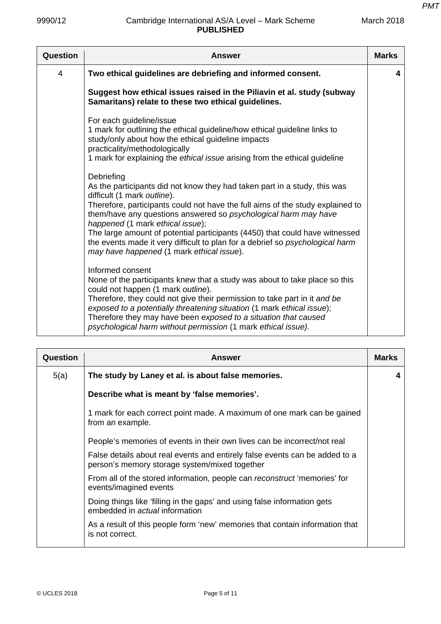| Question | Answer                                                                                                                                                                                                                                                                                                                                                                                                                                                                                                                       | <b>Marks</b> |
|----------|------------------------------------------------------------------------------------------------------------------------------------------------------------------------------------------------------------------------------------------------------------------------------------------------------------------------------------------------------------------------------------------------------------------------------------------------------------------------------------------------------------------------------|--------------|
| 4        | Two ethical guidelines are debriefing and informed consent.                                                                                                                                                                                                                                                                                                                                                                                                                                                                  | 4            |
|          | Suggest how ethical issues raised in the Piliavin et al. study (subway<br>Samaritans) relate to these two ethical guidelines.                                                                                                                                                                                                                                                                                                                                                                                                |              |
|          | For each guideline/issue<br>1 mark for outlining the ethical guideline/how ethical guideline links to<br>study/only about how the ethical guideline impacts<br>practicality/methodologically<br>1 mark for explaining the ethical issue arising from the ethical guideline                                                                                                                                                                                                                                                   |              |
|          | Debriefing<br>As the participants did not know they had taken part in a study, this was<br>difficult (1 mark outline).<br>Therefore, participants could not have the full aims of the study explained to<br>them/have any questions answered so psychological harm may have<br>happened (1 mark ethical issue);<br>The large amount of potential participants (4450) that could have witnessed<br>the events made it very difficult to plan for a debrief so psychological harm<br>may have happened (1 mark ethical issue). |              |
|          | Informed consent<br>None of the participants knew that a study was about to take place so this<br>could not happen (1 mark outline).<br>Therefore, they could not give their permission to take part in it and be<br>exposed to a potentially threatening situation (1 mark ethical issue);<br>Therefore they may have been exposed to a situation that caused<br>psychological harm without permission (1 mark ethical issue).                                                                                              |              |

| Question | <b>Answer</b>                                                                                                                | <b>Marks</b> |
|----------|------------------------------------------------------------------------------------------------------------------------------|--------------|
| 5(a)     | The study by Laney et al. is about false memories.                                                                           | 4            |
|          | Describe what is meant by 'false memories'.                                                                                  |              |
|          | 1 mark for each correct point made. A maximum of one mark can be gained<br>from an example.                                  |              |
|          | People's memories of events in their own lives can be incorrect/not real                                                     |              |
|          | False details about real events and entirely false events can be added to a<br>person's memory storage system/mixed together |              |
|          | From all of the stored information, people can reconstruct 'memories' for<br>events/imagined events                          |              |
|          | Doing things like 'filling in the gaps' and using false information gets<br>embedded in <i>actual</i> information            |              |
|          | As a result of this people form 'new' memories that contain information that<br>is not correct.                              |              |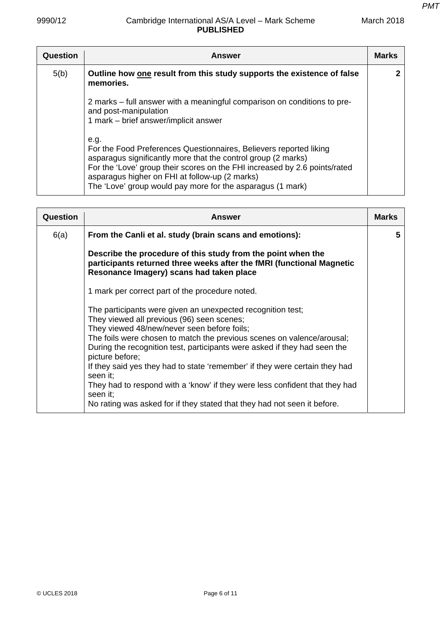| Question | <b>Answer</b>                                                                                                                                                                                                                                                                                                                             | <b>Marks</b> |
|----------|-------------------------------------------------------------------------------------------------------------------------------------------------------------------------------------------------------------------------------------------------------------------------------------------------------------------------------------------|--------------|
| 5(b)     | Outline how one result from this study supports the existence of false<br>memories.                                                                                                                                                                                                                                                       |              |
|          | 2 marks – full answer with a meaningful comparison on conditions to pre-<br>and post-manipulation<br>1 mark – brief answer/implicit answer                                                                                                                                                                                                |              |
|          | e.g.<br>For the Food Preferences Questionnaires, Believers reported liking<br>asparagus significantly more that the control group (2 marks)<br>For the 'Love' group their scores on the FHI increased by 2.6 points/rated<br>asparagus higher on FHI at follow-up (2 marks)<br>The 'Love' group would pay more for the asparagus (1 mark) |              |

| Question | <b>Answer</b>                                                                                                                                                                                                                                                                                                                                                                                                                                                                                                                                                                                        | <b>Marks</b> |
|----------|------------------------------------------------------------------------------------------------------------------------------------------------------------------------------------------------------------------------------------------------------------------------------------------------------------------------------------------------------------------------------------------------------------------------------------------------------------------------------------------------------------------------------------------------------------------------------------------------------|--------------|
| 6(a)     | From the Canli et al. study (brain scans and emotions):                                                                                                                                                                                                                                                                                                                                                                                                                                                                                                                                              | 5.           |
|          | Describe the procedure of this study from the point when the<br>participants returned three weeks after the fMRI (functional Magnetic<br>Resonance Imagery) scans had taken place                                                                                                                                                                                                                                                                                                                                                                                                                    |              |
|          | 1 mark per correct part of the procedure noted.                                                                                                                                                                                                                                                                                                                                                                                                                                                                                                                                                      |              |
|          | The participants were given an unexpected recognition test;<br>They viewed all previous (96) seen scenes;<br>They viewed 48/new/never seen before foils;<br>The foils were chosen to match the previous scenes on valence/arousal;<br>During the recognition test, participants were asked if they had seen the<br>picture before;<br>If they said yes they had to state 'remember' if they were certain they had<br>seen it;<br>They had to respond with a 'know' if they were less confident that they had<br>seen it;<br>No rating was asked for if they stated that they had not seen it before. |              |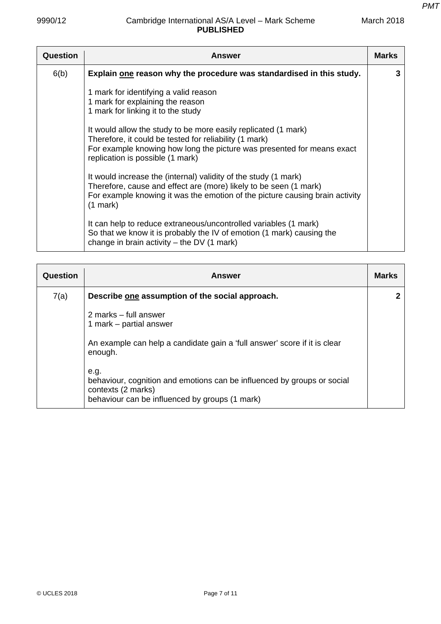| Question | Answer                                                                                                                                                                                                                                 | <b>Marks</b> |
|----------|----------------------------------------------------------------------------------------------------------------------------------------------------------------------------------------------------------------------------------------|--------------|
| 6(b)     | Explain one reason why the procedure was standardised in this study.                                                                                                                                                                   | 3            |
|          | 1 mark for identifying a valid reason<br>1 mark for explaining the reason<br>1 mark for linking it to the study                                                                                                                        |              |
|          | It would allow the study to be more easily replicated (1 mark)<br>Therefore, it could be tested for reliability (1 mark)<br>For example knowing how long the picture was presented for means exact<br>replication is possible (1 mark) |              |
|          | It would increase the (internal) validity of the study (1 mark)<br>Therefore, cause and effect are (more) likely to be seen (1 mark)<br>For example knowing it was the emotion of the picture causing brain activity<br>$(1$ mark $)$  |              |
|          | It can help to reduce extraneous/uncontrolled variables (1 mark)<br>So that we know it is probably the IV of emotion (1 mark) causing the<br>change in brain activity $-$ the DV (1 mark)                                              |              |

| Question | <b>Answer</b>                                                                                                                                           | <b>Marks</b> |
|----------|---------------------------------------------------------------------------------------------------------------------------------------------------------|--------------|
| 7(a)     | Describe one assumption of the social approach.                                                                                                         | 2            |
|          | 2 marks – full answer<br>1 mark – partial answer                                                                                                        |              |
|          | An example can help a candidate gain a 'full answer' score if it is clear<br>enough.                                                                    |              |
|          | e.g.<br>behaviour, cognition and emotions can be influenced by groups or social<br>contexts (2 marks)<br>behaviour can be influenced by groups (1 mark) |              |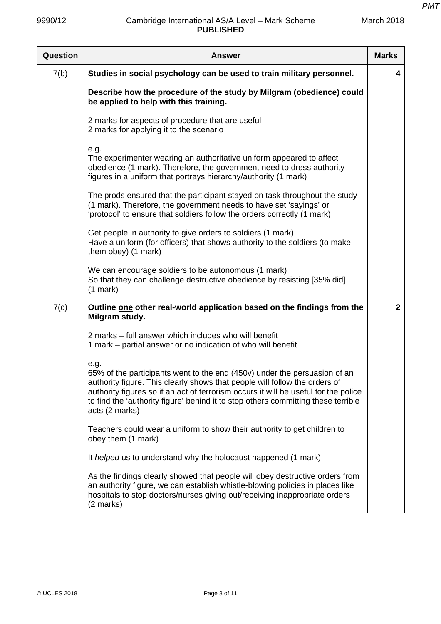| Question | <b>Answer</b>                                                                                                                                                                                                                                                                                                                                                 | <b>Marks</b>   |
|----------|---------------------------------------------------------------------------------------------------------------------------------------------------------------------------------------------------------------------------------------------------------------------------------------------------------------------------------------------------------------|----------------|
| 7(b)     | Studies in social psychology can be used to train military personnel.                                                                                                                                                                                                                                                                                         | 4              |
|          | Describe how the procedure of the study by Milgram (obedience) could<br>be applied to help with this training.                                                                                                                                                                                                                                                |                |
|          | 2 marks for aspects of procedure that are useful<br>2 marks for applying it to the scenario                                                                                                                                                                                                                                                                   |                |
|          | e.g.<br>The experimenter wearing an authoritative uniform appeared to affect<br>obedience (1 mark). Therefore, the government need to dress authority<br>figures in a uniform that portrays hierarchy/authority (1 mark)                                                                                                                                      |                |
|          | The prods ensured that the participant stayed on task throughout the study<br>(1 mark). Therefore, the government needs to have set 'sayings' or<br>'protocol' to ensure that soldiers follow the orders correctly (1 mark)                                                                                                                                   |                |
|          | Get people in authority to give orders to soldiers (1 mark)<br>Have a uniform (for officers) that shows authority to the soldiers (to make<br>them obey) (1 mark)                                                                                                                                                                                             |                |
|          | We can encourage soldiers to be autonomous (1 mark)<br>So that they can challenge destructive obedience by resisting [35% did]<br>$(1$ mark)                                                                                                                                                                                                                  |                |
| 7(c)     | Outline one other real-world application based on the findings from the<br>Milgram study.                                                                                                                                                                                                                                                                     | $\overline{2}$ |
|          | 2 marks – full answer which includes who will benefit<br>1 mark – partial answer or no indication of who will benefit                                                                                                                                                                                                                                         |                |
|          | e.g.<br>65% of the participants went to the end (450v) under the persuasion of an<br>authority figure. This clearly shows that people will follow the orders of<br>authority figures so if an act of terrorism occurs it will be useful for the police<br>to find the 'authority figure' behind it to stop others committing these terrible<br>acts (2 marks) |                |
|          | Teachers could wear a uniform to show their authority to get children to<br>obey them (1 mark)                                                                                                                                                                                                                                                                |                |
|          | It helped us to understand why the holocaust happened (1 mark)                                                                                                                                                                                                                                                                                                |                |
|          | As the findings clearly showed that people will obey destructive orders from<br>an authority figure, we can establish whistle-blowing policies in places like<br>hospitals to stop doctors/nurses giving out/receiving inappropriate orders<br>(2 marks)                                                                                                      |                |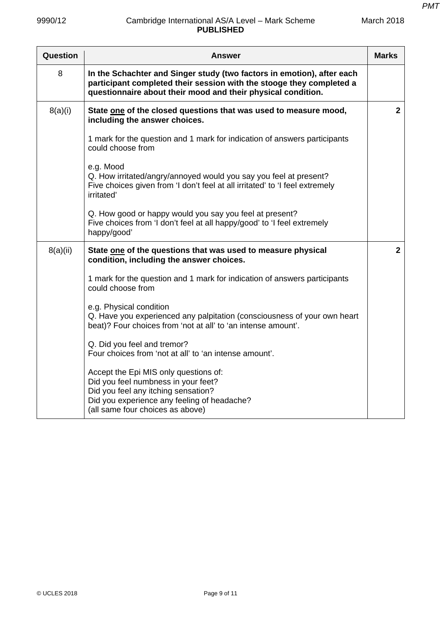| Question | <b>Answer</b>                                                                                                                                                                                                  | <b>Marks</b>   |
|----------|----------------------------------------------------------------------------------------------------------------------------------------------------------------------------------------------------------------|----------------|
| 8        | In the Schachter and Singer study (two factors in emotion), after each<br>participant completed their session with the stooge they completed a<br>questionnaire about their mood and their physical condition. |                |
| 8(a)(i)  | State one of the closed questions that was used to measure mood,<br>including the answer choices.                                                                                                              | $\overline{2}$ |
|          | 1 mark for the question and 1 mark for indication of answers participants<br>could choose from                                                                                                                 |                |
|          | e.g. Mood<br>Q. How irritated/angry/annoyed would you say you feel at present?<br>Five choices given from 'I don't feel at all irritated' to 'I feel extremely<br>irritated'                                   |                |
|          | Q. How good or happy would you say you feel at present?<br>Five choices from 'I don't feel at all happy/good' to 'I feel extremely<br>happy/good'                                                              |                |
| 8(a)(ii) | State one of the questions that was used to measure physical<br>condition, including the answer choices.                                                                                                       | $\mathbf{2}$   |
|          | 1 mark for the question and 1 mark for indication of answers participants<br>could choose from                                                                                                                 |                |
|          | e.g. Physical condition<br>Q. Have you experienced any palpitation (consciousness of your own heart<br>beat)? Four choices from 'not at all' to 'an intense amount'.                                           |                |
|          | Q. Did you feel and tremor?<br>Four choices from 'not at all' to 'an intense amount'.                                                                                                                          |                |
|          | Accept the Epi MIS only questions of:<br>Did you feel numbness in your feet?<br>Did you feel any itching sensation?<br>Did you experience any feeling of headache?<br>(all same four choices as above)         |                |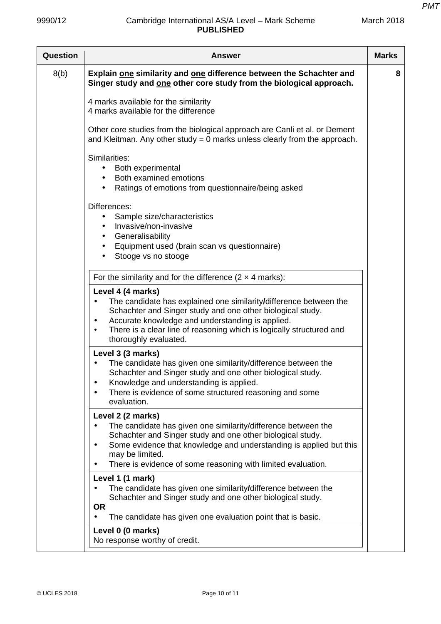| March 2018 |  |
|------------|--|
|------------|--|

| <b>Question</b> | Answer                                                                                                                                                                                                                                                                                                                 | <b>Marks</b> |
|-----------------|------------------------------------------------------------------------------------------------------------------------------------------------------------------------------------------------------------------------------------------------------------------------------------------------------------------------|--------------|
| 8(b)            | Explain one similarity and one difference between the Schachter and<br>Singer study and one other core study from the biological approach.                                                                                                                                                                             | 8            |
|                 | 4 marks available for the similarity<br>4 marks available for the difference                                                                                                                                                                                                                                           |              |
|                 | Other core studies from the biological approach are Canli et al. or Dement<br>and Kleitman. Any other study $= 0$ marks unless clearly from the approach.                                                                                                                                                              |              |
|                 | Similarities:<br>Both experimental<br>Both examined emotions<br>$\bullet$<br>Ratings of emotions from questionnaire/being asked<br>$\bullet$                                                                                                                                                                           |              |
|                 | Differences:<br>Sample size/characteristics<br>Invasive/non-invasive<br>Generalisability<br>$\bullet$<br>Equipment used (brain scan vs questionnaire)<br>٠<br>Stooge vs no stooge                                                                                                                                      |              |
|                 | For the similarity and for the difference $(2 \times 4 \text{ marks})$ :                                                                                                                                                                                                                                               |              |
|                 | Level 4 (4 marks)<br>The candidate has explained one similarity/difference between the<br>Schachter and Singer study and one other biological study.<br>Accurate knowledge and understanding is applied.<br>$\bullet$<br>There is a clear line of reasoning which is logically structured and<br>thoroughly evaluated. |              |
|                 | Level 3 (3 marks)<br>The candidate has given one similarity/difference between the<br>Schachter and Singer study and one other biological study.<br>Knowledge and understanding is applied.<br>٠<br>There is evidence of some structured reasoning and some<br>evaluation.                                             |              |
|                 | Level 2 (2 marks)<br>The candidate has given one similarity/difference between the<br>Schachter and Singer study and one other biological study.<br>Some evidence that knowledge and understanding is applied but this<br>may be limited.<br>There is evidence of some reasoning with limited evaluation.              |              |
|                 | Level 1 (1 mark)<br>The candidate has given one similarity/difference between the<br>Schachter and Singer study and one other biological study.<br><b>OR</b><br>The candidate has given one evaluation point that is basic.                                                                                            |              |
|                 | Level 0 (0 marks)<br>No response worthy of credit.                                                                                                                                                                                                                                                                     |              |